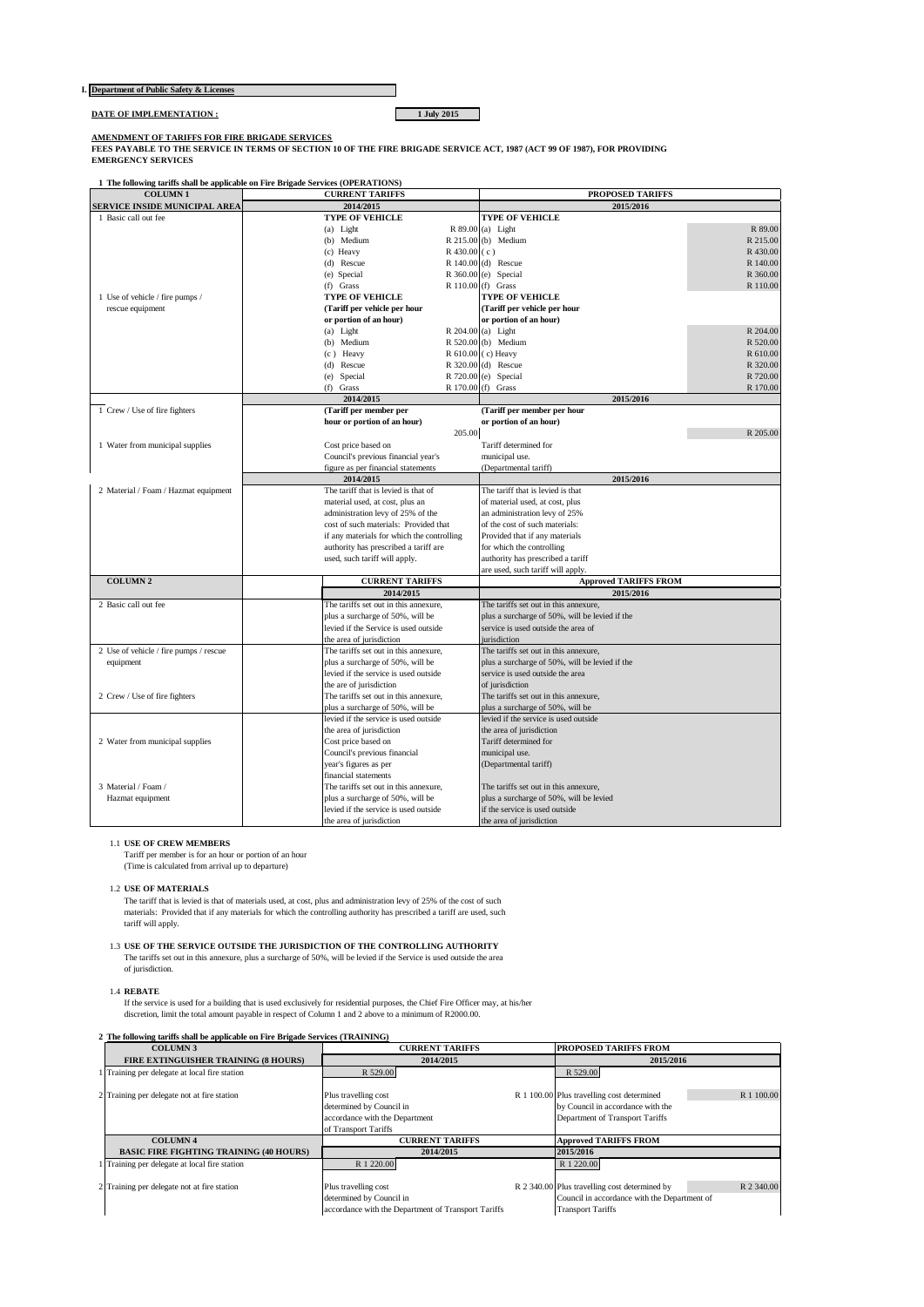| I. Department of Public Safety & Licenses |
|-------------------------------------------|
|-------------------------------------------|

**DATE OF IMPLEMENTATION : 1 July 2015** 

**AMENDMENT OF TARIFFS FOR FIRE BRIGADE SERVICES FEES PAYABLE TO THE SERVICE IN TERMS OF SECTION 10 OF THE FIRE BRIGADE SERVICE ACT, 1987 (ACT 99 OF 1987), FOR PROVIDING EMERGENCY SERVICES**

П

**1 The following tariffs shall be applicable on Fire Brigade Services (OPERATIONS)**

| <b>COLUMN1</b>                         | <b>CURRENT TARIFFS</b>                     | PROPOSED TARIFFS                               |
|----------------------------------------|--------------------------------------------|------------------------------------------------|
| SERVICE INSIDE MUNICIPAL AREA          | 2014/2015                                  | 2015/2016                                      |
| 1 Basic call out fee                   | <b>TYPE OF VEHICLE</b>                     | <b>TYPE OF VEHICLE</b>                         |
|                                        | (a) Light                                  | R 89.00 (a) Light<br>R 89.00                   |
|                                        | (b) Medium                                 | R 215.00 (b) Medium<br>R 215.00                |
|                                        | $R$ 430.00 (c)<br>(c) Heavy                | R 430.00                                       |
|                                        | (d) Rescue                                 | R 140.00 (d) Rescue<br>R 140.00                |
|                                        | (e) Special                                | R 360.00 (e) Special<br>R 360.00               |
|                                        | $(f)$ Grass                                | R 110.00 (f) Grass<br>R 110.00                 |
| 1 Use of vehicle / fire pumps /        | <b>TYPE OF VEHICLE</b>                     | <b>TYPE OF VEHICLE</b>                         |
| rescue equipment                       | (Tariff per vehicle per hour               | (Tariff per vehicle per hour                   |
|                                        | or portion of an hour)                     | or portion of an hour)                         |
|                                        | (a) Light                                  | R 204.00 (a) Light<br>R 204.00                 |
|                                        | (b) Medium                                 | R 520.00 (b) Medium<br>R 520.00                |
|                                        | (c) Heavy                                  | R 610.00 (c) Heavy<br>R 610.00                 |
|                                        | (d) Rescue                                 | R 320.00 (d) Rescue<br>R 320.00                |
|                                        | (e) Special                                | R 720.00 (e) Special<br>R 720.00               |
|                                        | $(f)$ Grass                                | R 170.00 (f) Grass<br>R 170.00                 |
|                                        | 2014/2015                                  | 2015/2016                                      |
| 1 Crew / Use of fire fighters          | (Tariff per member per                     | (Tariff per member per hour                    |
|                                        | hour or portion of an hour)                | or portion of an hour)                         |
|                                        | 205.00                                     | R 205.00                                       |
| 1 Water from municipal supplies        | Cost price based on                        | Tariff determined for                          |
|                                        | Council's previous financial year's        | municipal use.                                 |
|                                        | figure as per financial statements         | (Departmental tariff)                          |
|                                        | 2014/2015                                  | 2015/2016                                      |
| 2 Material / Foam / Hazmat equipment   | The tariff that is levied is that of       | The tariff that is levied is that              |
|                                        | material used, at cost, plus an            | of material used, at cost, plus                |
|                                        | administration levy of 25% of the          | an administration levy of 25%                  |
|                                        | cost of such materials: Provided that      | of the cost of such materials:                 |
|                                        | if any materials for which the controlling | Provided that if any materials                 |
|                                        | authority has prescribed a tariff are      | for which the controlling                      |
|                                        | used, such tariff will apply.              | authority has prescribed a tariff              |
|                                        |                                            | are used, such tariff will apply.              |
| <b>COLUMN 2</b>                        | <b>CURRENT TARIFFS</b>                     | <b>Approved TARIFFS FROM</b>                   |
|                                        | 2014/2015                                  | 2015/2016                                      |
| 2 Basic call out fee                   | The tariffs set out in this annexure,      | The tariffs set out in this annexure,          |
|                                        | plus a surcharge of 50%, will be           | plus a surcharge of 50%, will be levied if the |
|                                        | levied if the Service is used outside      | service is used outside the area of            |
|                                        | the area of jurisdiction                   | iurisdiction                                   |
| 2 Use of vehicle / fire pumps / rescue | The tariffs set out in this annexure,      | The tariffs set out in this annexure,          |
| equipment                              | plus a surcharge of 50%, will be           | plus a surcharge of 50%, will be levied if the |
|                                        | levied if the service is used outside      | service is used outside the area               |
|                                        | the are of jurisdiction                    | of jurisdiction                                |
| 2 Crew / Use of fire fighters          | The tariffs set out in this annexure,      | The tariffs set out in this annexure,          |
|                                        | plus a surcharge of 50%, will be           | olus a surcharge of 50%, will be               |
|                                        | levied if the service is used outside      | levied if the service is used outside          |
|                                        | the area of jurisdiction                   | the area of jurisdiction                       |
| 2 Water from municipal supplies        | Cost price based on                        | Tariff determined for                          |
|                                        | Council's previous financial               | municipal use.                                 |
|                                        | year's figures as per                      | (Departmental tariff)                          |
|                                        | financial statements                       |                                                |
| 3 Material / Foam /                    | The tariffs set out in this annexure,      | The tariffs set out in this annexure,          |
| Hazmat equipment                       | plus a surcharge of 50%, will be           | plus a surcharge of 50%, will be levied        |
|                                        | levied if the service is used outside      | if the service is used outside                 |
|                                        | the area of jurisdiction                   | the area of jurisdiction                       |

1.1 **USE OF CREW MEMBERS**

Tariff per member is for an hour or portion of an hour (Time is calculated from arrival up to departure)

1.2 **USE OF MATERIALS**

The tariff that is levied is that of materials used, at cost, plus and administration levy of 25% of the cost of such<br>materials: Provided that if any materials for which the controlling authority has prescribed a tariff ar tariff will apply.

# 1.3 **USE OF THE SERVICE OUTSIDE THE JURISDICTION OF THE CONTROLLING AUTHORITY**

The tariffs set out in this annexure, plus a surcharge of 50%, will be levied if the Service is used outside the area of jurisdiction.

1.4 **REBATE** If the service is used for a building that is used exclusively for residential purposes, the Chief Fire Officer may, at his/her discretion, limit the total amount payable in respect of Column 1 and 2 above to a minimum of R2000.00.

### **2 The following tariffs shall be applicable on Fire Brigade Services (TRAINING)**

| <b>COLUMN 3</b>                                | <b>CURRENT TARIFFS</b>                                                                                     | <b>PROPOSED TARIFFS FROM</b>                                                                                                     |
|------------------------------------------------|------------------------------------------------------------------------------------------------------------|----------------------------------------------------------------------------------------------------------------------------------|
| FIRE EXTINGUISHER TRAINING (8 HOURS)           | 2014/2015                                                                                                  | 2015/2016                                                                                                                        |
| Training per delegate at local fire station    | R 529.00                                                                                                   | R 529.00                                                                                                                         |
| 2 Training per delegate not at fire station    | Plus travelling cost<br>determined by Council in<br>accordance with the Department<br>of Transport Tariffs | R 1 100.00 Plus travelling cost determined<br>R 1 100.00<br>by Council in accordance with the<br>Department of Transport Tariffs |
| <b>COLUMN 4</b>                                | <b>CURRENT TARIFFS</b>                                                                                     | <b>Approved TARIFFS FROM</b>                                                                                                     |
| <b>BASIC FIRE FIGHTING TRAINING (40 HOURS)</b> | 2014/2015                                                                                                  | 2015/2016                                                                                                                        |
| Training per delegate at local fire station    | R 1 220.00                                                                                                 | R 1 220.00                                                                                                                       |
| 2 Training per delegate not at fire station    | Plus travelling cost<br>determined by Council in                                                           | R 2 340.00 Plus travelling cost determined by<br>R 2 340.00<br>Council in accordance with the Department of                      |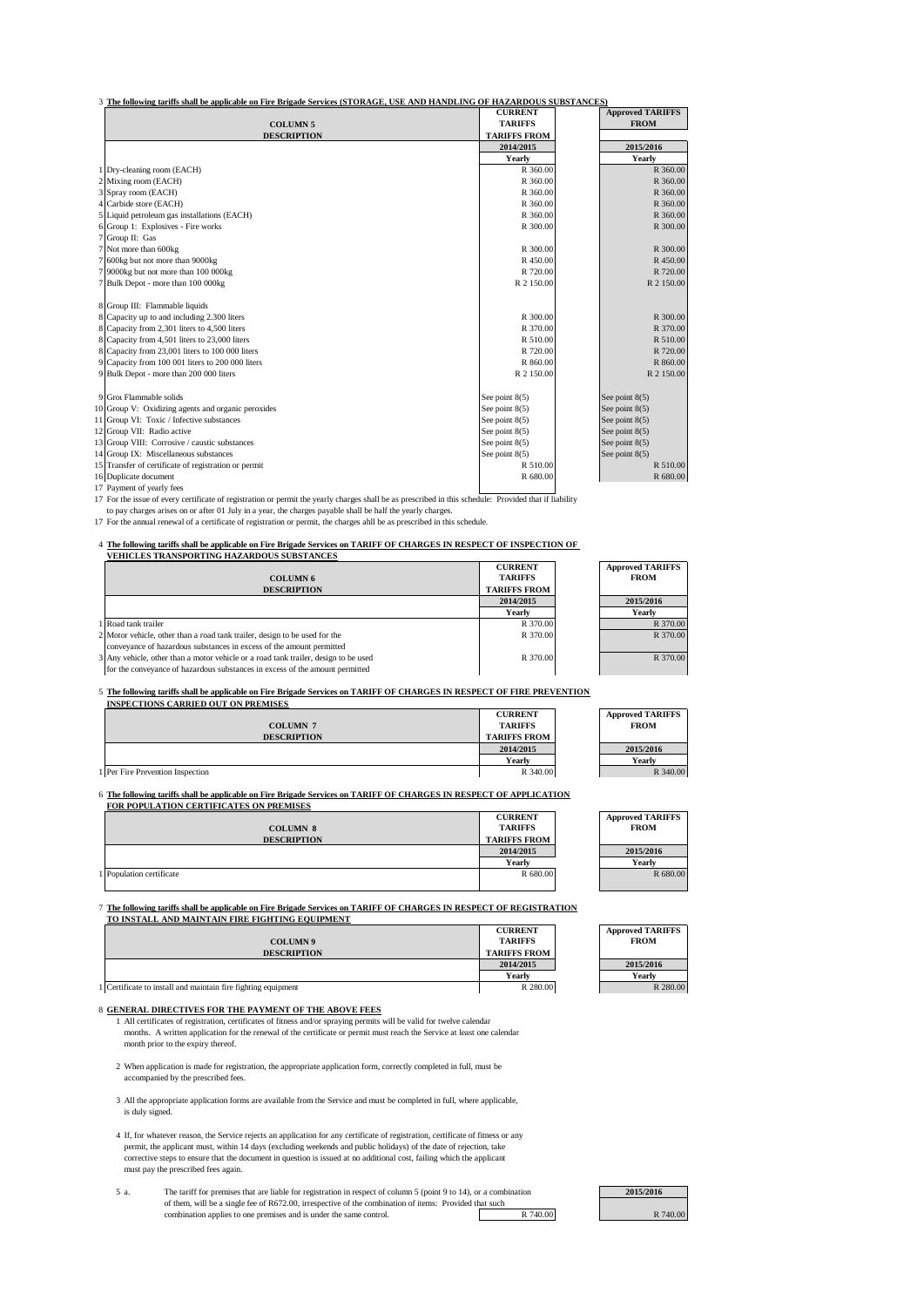# 3 **The following tariffs shall be applicable on Fire Brigade Services (STORAGE, USE AND HANDLING OF HAZARDOUS SUBSTANCES)**

|                                                      | <b>CURRENT</b>      | <b>Approved TARIFFS</b> |
|------------------------------------------------------|---------------------|-------------------------|
| <b>COLUMN 5</b>                                      | <b>TARIFFS</b>      | <b>FROM</b>             |
| <b>DESCRIPTION</b>                                   | <b>TARIFFS FROM</b> |                         |
|                                                      | 2014/2015           | 2015/2016               |
|                                                      | Yearly              | Yearly                  |
| Dry-cleaning room (EACH)                             | R 360.00            | R 360.00                |
| 2 Mixing room (EACH)                                 | R 360.00            | R 360.00                |
| 3 Spray room (EACH)                                  | R 360.00            | R 360.00                |
| Carbide store (EACH)                                 | R 360.00            | R 360.00                |
| 5 Liquid petroleum gas installations (EACH)          | R 360.00            | R 360.00                |
| Group 1: Explosives - Fire works                     | R 300.00            | R 300.00                |
| 7 Group II: Gas                                      |                     |                         |
| 7 Not more than 600kg                                | R 300.00            | R 300.00                |
| 7 600kg but not more than 9000kg                     | R 450.00            | R 450.00                |
| 7 9000kg but not more than 100 000kg                 | R 720.00            | R 720.00                |
| 7 Bulk Depot - more than 100 000kg                   | R 2 150.00          | R 2 150.00              |
|                                                      |                     |                         |
| 8 Group III: Flammable liquids                       |                     |                         |
| 8 Capacity up to and including 2.300 liters          | R 300.00            | R 300.00                |
| 8 Capacity from 2,301 liters to 4,500 liters         | R 370.00            | R 370.00                |
| 8 Capacity from 4,501 liters to 23,000 liters        | R 510.00            | R 510.00                |
| 8 Capacity from 23,001 liters to 100 000 liters      | R 720.00            | R 720.00                |
| 9 Capacity from 100 001 liters to 200 000 liters     | R 860.00            | R 860.00                |
| 9 Bulk Depot - more than 200 000 liters              | R 2 150.00          | R 2 150.00              |
|                                                      |                     |                         |
| 9 Grot Flammable solids                              | See point $8(5)$    | See point $8(5)$        |
| 10 Group V: Oxidizing agents and organic peroxides   | See point $8(5)$    | See point $8(5)$        |
| 11 Group VI: Toxic / Infective substances            | See point 8(5)      | See point $8(5)$        |
| 12 Group VII: Radio active                           | See point $8(5)$    | See point $8(5)$        |
| 13 Group VIII: Corrosive / caustic substances        | See point $8(5)$    | See point $8(5)$        |
| 14 Group IX: Miscellaneous substances                | See point $8(5)$    | See point $8(5)$        |
| 15 Transfer of certificate of registration or permit | R 510.00            | R 510.00                |
| 16 Duplicate document                                | R 680.00            | R 680.00                |
| 17 Payment of yearly fees                            |                     |                         |

17 Payment of yearly fees

17 For the issue of every certificate of registration or permit the yearly charges shall be as prescribed in this schedule: Provided that if liability to pay charges arises on or after 01 July in a year, the charges payabl

17 For the annual renewal of a certificate of registration or permit, the charges ahll be as prescribed in this schedule.

# 4 **The following tariffs shall be applicable on Fire Brigade Services on TARIFF OF CHARGES IN RESPECT OF INSPECTION OF VEHICLES TRANSPORTING HAZARDOUS SUBSTANCES**

| <u>Lettre eta Tivania ont ing hazando os sedstanek</u>                              |                     |                         |
|-------------------------------------------------------------------------------------|---------------------|-------------------------|
|                                                                                     | <b>CURRENT</b>      | <b>Approved TARIFFS</b> |
| <b>COLUMN 6</b>                                                                     | <b>TARIFFS</b>      | <b>FROM</b>             |
| <b>DESCRIPTION</b>                                                                  | <b>TARIFFS FROM</b> |                         |
|                                                                                     | 2014/2015           | 2015/2016               |
|                                                                                     | Yearly              | Yearly                  |
| 1 Road tank trailer                                                                 | R 370.00            | R 370.00                |
| 2 Motor vehicle, other than a road tank trailer, design to be used for the          | R 370.00            | R 370.00                |
| conveyance of hazardous substances in excess of the amount permitted                |                     |                         |
| 3 Any vehicle, other than a motor vehicle or a road tank trailer, design to be used | R 370.00            | R 370.00                |
| for the conveyance of hazardous substances in excess of the amount permitted        |                     |                         |

# 5 **The following tariffs shall be applicable on Fire Brigade Services on TARIFF OF CHARGES IN RESPECT OF FIRE PREVENTION**

| <b>INSPECTIONS CARRIED OUT ON PREMISES</b> |                     |                         |
|--------------------------------------------|---------------------|-------------------------|
|                                            | <b>CURRENT</b>      | <b>Approved TARIFFS</b> |
| <b>COLUMN 7</b>                            | <b>TARIFFS</b>      | <b>FROM</b>             |
| <b>DESCRIPTION</b>                         | <b>TARIFFS FROM</b> |                         |
|                                            | 2014/2015           | 2015/2016               |
|                                            | Yearly              | Yearlv                  |
| 1 Per Fire Prevention Inspection           | R 340.00            | R 340.00                |

### 6 **The following tariffs shall be applicable on Fire Brigade Services on TARIFF OF CHARGES IN RESPECT OF APPLICATION FOR POPULATION CERTIFICATES ON PREMISES**

|                          | <b>CURRENT</b>      | <b>Approved TARIFFS</b> |
|--------------------------|---------------------|-------------------------|
| <b>COLUMN 8</b>          | <b>TARIFFS</b>      | <b>FROM</b>             |
| <b>DESCRIPTION</b>       | <b>TARIFFS FROM</b> |                         |
|                          | 2014/2015           | 2015/2016               |
|                          | Yearly              | Yearlv                  |
| 1 Population certificate | R 680.00            | R 680.00                |
|                          |                     |                         |

7 **The following tariffs shall be applicable on Fire Brigade Services on TARIFF OF CHARGES IN RESPECT OF REGISTRATION TO INSTALL AND MAINTAIN FIRE FIGHTING EQUIPMENT**

|                                                               | <b>CURRENT</b>      | <b>Approved TARIFFS</b> |
|---------------------------------------------------------------|---------------------|-------------------------|
| <b>COLUMN9</b>                                                | <b>TARIFFS</b>      | <b>FROM</b>             |
| <b>DESCRIPTION</b>                                            | <b>TARIFFS FROM</b> |                         |
|                                                               | 2014/2015           | 2015/2016               |
|                                                               | Yearly              | Yearly                  |
| 1 Certificate to install and maintain fire fighting equipment | R 280.00            | R 280.00                |

# 8 **GENERAL DIRECTIVES FOR THE PAYMENT OF THE ABOVE FEES**

- 1 All certificates of registration, certificates of fitness and/or spraying permits will be valid for twelve calendar<br>months. A written application for the renewal of the certificate or permit must reach the Service at lea month prior to the expiry thereof.
- 2 When application is made for registration, the appropriate application form, correctly completed in full, must be accompanied by the prescribed fees.
- 3 All the appropriate application forms are available from the Service and must be completed in full, where applicable, is duly signed.
- 4 If, for whatever reason, the Service rejects an application for any certificate of registration, certificate of fitness or any permit, the applicant must, within 14 days (excluding weekends and public holidays) of the da corrective steps to ensure that the document in question is issued at no additional cost, failing which the applicant must pay the prescribed fees again.
- 5 a. The tariff for premises that are liable for registration in respect of column 5 (point 9 to 14), or a combination of them, will be a single fee of R672.00, irrespective of the combination of items: Provided that such combination applies to one premises and is under the same control. R 740.00

| 2015/2016 |
|-----------|
|           |
| R 740.00  |